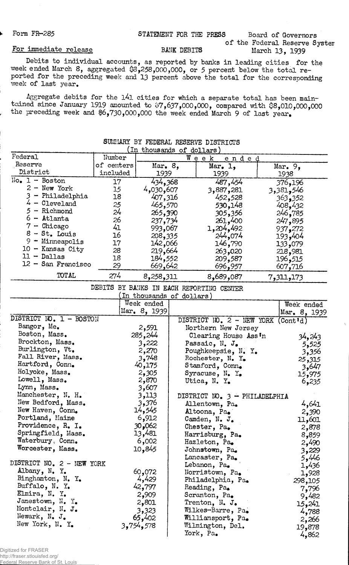# Form FR-285 STATEMENT FOR THE PRESS Board of Governors

# of the Federal Reserve System<br>March 13, 1939

### For immediate release BANK DEBITS

Debits to individual accounts, as reported by banks in leading cities for the week ended March 8, aggregated \$8,258,000,000, or 5 percent below the total reported for the preceding week and 13 percent above the total for the corresponding week of last year.

Aggregate debits for the 141 cities for which a separate total has been maintained since January 1919 amounted to  $$7,637,000,000$ , compared with  $$8,010,000,000$ the preceding week and  $6,730,000,000$  the week ended March 9 of last year.

| SUMMARY BY FEDERAL RESERVE DISTRICTS |            |                    |               |           |  |  |  |
|--------------------------------------|------------|--------------------|---------------|-----------|--|--|--|
| (In thousands of dollars)            |            |                    |               |           |  |  |  |
| Federal                              | Number     |                    | Week<br>ended |           |  |  |  |
| Reserve                              | of centers | $Mar_{\bullet} 8,$ | Mar. 1,       | Mar. $9,$ |  |  |  |
| District                             | included   | 1939               | 1939          | 1938      |  |  |  |
| $No• 1 - Boston$                     | 17         | 434,368            | 487,454       | 376,196   |  |  |  |
| New York<br>$2 -$                    | 15         | 4,030,607          | 3,887,281     | 3,381,546 |  |  |  |
| - Philadelphia                       | 18         | 407,316            | 452,528       | 363,352   |  |  |  |
| $4 -$ Cleveland                      | 25         | 465,570            | 530,148       | 408,432   |  |  |  |
| - Richmond                           | 24         | 265,390            | 305,356       | 246,785   |  |  |  |
| $-$ Atlanta<br>6.                    | 26         | 237,734            | 261,400       | 247,895   |  |  |  |
| Chicago<br>$\overline{\phantom{m}}$  | 41         | 993,067            | 1,204,492     | 937,272   |  |  |  |
| $8 - St.$ Louis                      | 16         | 208,335            | 244,074       | 193,404   |  |  |  |
| $9 -$ Minneapolis                    | 17         | 142,066            | 146,790       | 133,079   |  |  |  |
| $10 -$ Kansas City                   | 28         | 219,664            | 263,020       | 218,981   |  |  |  |
| $11 - Dallas$                        | 18         | 184,552            | 209,587       | 196,515   |  |  |  |
| 12 - San Francisco                   | 29         | 669,642            | 696,957       | 607,716   |  |  |  |
| TOTAL                                | 274        | 8,258,311          | 8,689,087     | 7,311,173 |  |  |  |

## SURMARY DY FEDERAL RESERVE DISTRICT

DEBITS BY BANKS IN EACH REPORTING CENTER

|                           | In thousands of dollars) |                                        |              |
|---------------------------|--------------------------|----------------------------------------|--------------|
|                           | Week ended               |                                        | Week ended   |
|                           | Mar. $8, 1939$           |                                        | Mar. 8, 1939 |
| DISTRICT NO. 1 - BOSTON   |                          | DISTRICT NO. $2$ - NEW YORK (Cont'd)   |              |
| Bangor, Me.               | 2,591                    | Northern New Jersey                    |              |
| Boston, Mass.             | 285,244                  | Clearing House Ass'n                   | 34,243       |
| Brockton, Mass.           | 3,222                    | Passaic, N. J.                         | 5,525        |
| Burlington, Vt.           | 2,270                    | Poughkeepsie, N. Y.                    | 3,356        |
| Fall River, Mass.         | 3,748                    | Rochester, N. Y.                       | 25,315       |
| Hartford, Conn.           | 40,175                   | Stamford, Conn.                        | 3,647        |
| Holyoke, Mass.            | 2,305                    | Syracuse, $N_{\bullet}$ Y <sub>o</sub> | 15,975       |
| Lowell, Mass.             | 2,870                    | Utica, N. Y.                           | 6,235        |
| Lynn, Mass.               | 3,607                    |                                        |              |
| Manchester, N. H.         | 3,113                    | DISTRICT NO. 3 - PHILADELPHIA          |              |
| New Bedford, Mass.        | 3,376                    | Allentown, Pa.                         | 4,641        |
| New Haven, Conn.          | 14,545                   | Altoona, Pa.                           | 2,390        |
| Portland, Maine           | 6,912                    | Camden, N. J.                          | 11,601       |
| Providence, R. I.         | 30,062                   | Chester, Pa.                           | 2,878        |
| Springfield, Mass.        | 13,481                   | Harrisburg, Pa.                        | 8,859        |
| Waterbury, Conn.          | 6,002                    | Hazleton, Pa.                          | 2,490        |
| Worcester, Mass.          | 10,845                   | Johnstown, Pa.                         | 3,229        |
|                           |                          | Lancaster, Pa.                         | 5,446        |
| DISTRICT NO. 2 - NEW YORK |                          | Lebanon, Pa.                           | 1,436        |
| Albany, N. Y.             | 60,072                   | Norristown, Pa.                        | 1,928        |
| Binghamton, N. Y.         | 4,429                    | Philadelphia, Pa.                      | 298,105      |
| Buffalo, N. Y.            | 42,797                   | Reading, Pa.                           | 7,796        |
| Elmira, N. Y.             | 2,909                    | Scranton, Pa.                          | 9,482        |
| Jamestown, N. Y.          | 2,801                    | Trenton, N. J.                         | 15,241       |
| Montclair, N. J.          | 3,323                    | Wilkes-Barre, Pa.                      | 4,788        |
| Newark, N. J.             | 65,402                   | Williamsport, Pa.                      | 2,266        |
| New York, N. Y.           | 3,754,578                | Wilmington, Del.                       | 19,878       |
|                           |                          | York, Pa.                              | 4,862        |
|                           |                          |                                        |              |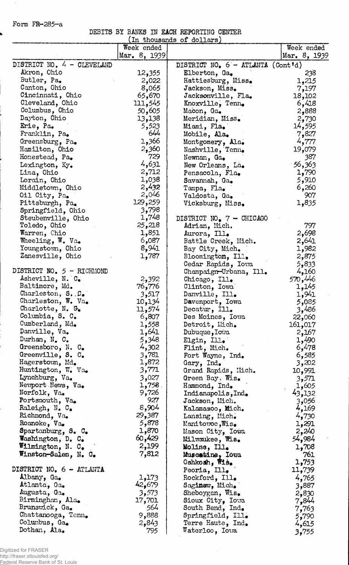Form FR-285-a

ś

DEBITS BY BANKS IN EACH REPORTING CENTER

|                             |                | (In thousands of dollars)                                   |              |
|-----------------------------|----------------|-------------------------------------------------------------|--------------|
|                             | Week ended     |                                                             | Week ended   |
|                             | Mar. $8, 1939$ |                                                             | Mar. 8, 1939 |
| DISTRICT NO. 4 - CLEVELAND  |                | DISTRICT NO. $6 - \text{ATLANTA} (\text{Cont }^{\dagger}d)$ |              |
| Akron, Ohio                 | 12,355         | Elberton, Ga.                                               | 238          |
| Butler, Pa.                 | 2,022          | Hattiesburg, Miss.                                          | 1,215        |
| Canton, Ohio                | 8,065          | Jackson, Miss.                                              | 7,197        |
| Cincinnati, Ohio            | 65,670         | Jacksonville, Fla.                                          | 18,102       |
| Cleveland, Ohio             | 111,545        | Knoxville, Tenn.                                            | 6,418        |
| Columbus, Ohio              | 50,605         | Macon, Ga.                                                  | 2,888        |
| Dayton, Ohio                | 13,138         | Meridian, Miss.                                             | 2,730        |
| Erie, Pa.                   | 5,523          | Miami, Fla.                                                 | 14,595       |
| Franklin, Pa.               | 644            | Mobile, Ala.                                                | 7,827        |
| Greensburg, Pa.             | 1,366          | Montgomery, Ala.                                            | 4,777        |
| Hamilton, Ohio              | 2,360          | Nashville, Tenn.                                            | 19,079       |
| Honestead, Pa.              | 729            |                                                             | 387          |
|                             | 4,631          | Newnan, Ga.                                                 | 56,363       |
| Lexington, Ky.              | 2,712          | New Orleans, La.                                            |              |
| Lima, Ohio                  |                | Pensacola, Fla.                                             | 1,790        |
| Lorain, Ohio                | 1,038          | Savannah, Ga.                                               | 5,910        |
| Middletown, Ohio            | 2,432          | Tampa, Fla.                                                 | 6,260        |
| Oil City, Pa.               | 2,046          | Valdosta, Ga.                                               | 907          |
| Pittsburgh, Pa.             | 129,259        | Vicksburg, Miss.                                            | 1,835        |
| Springfield, Ohio           | 3,798          |                                                             |              |
| Steubenville, Ohio          | 1,748          | DISTRICT NO. $7 -$ CHICAGO                                  |              |
| Toledo, Ohio                | 25,218         | Adrian, Mich.                                               | 797          |
| Warren, Chio                | 1,851          | Aurora, Ill.                                                | 2,698        |
| Wheeling, $W_0$ . Va.       | 6,087          | Battle Creek, Mich.                                         | 2,641        |
| Youngstown, Ohio            | 8,941          | Bay City, Mich.                                             | 1,982        |
| Zanesville, Ohio            | 1,787          | Bloomington, Ill.                                           | 2,875        |
|                             |                | Cedar Rapids, Iowa                                          | 5,833        |
| DISTRICT NO. $5$ - RICHMOND |                | Champaign-Urbana, Ill.                                      | 4,160        |
| Asheville, N. C.            | 2,392          | Chicago, Ill.                                               | 570,446      |
| Baltimore, Md.              | 76,776         | Clinton, Iowa                                               | 1,145        |
| Charleston, S. C.           | 3,517          | Danville, Ill.                                              | 1,941        |
| Charleston, W. Va.          | 10,134         | Davenport, Iowa                                             | 5,085        |
| Charlotte, N. G.            | 11,574         | Decatur, Ill.                                               | 3,486        |
| Columbia, S. C.             | 6,807          | Des Moines, Iowa                                            | 22,060       |
| Cumberland, Md.             | 1,558          | Detroit, Mich.                                              | 161,017      |
| Danville, Va.               | 1,641          | Dubuque, Iowa                                               | 2,167        |
| Durham, $N_e$ $C_e$         | 5,348          | Elgin, Ill.                                                 | 1,490        |
| Greensboro, N. C.           | 4,302          | Flint, Mich.                                                | 6,478        |
| Greenville, S. C.           | 3,781          | Fort Wayne, Ind.                                            | 6,585        |
| Hagerstown, Md.             | 1,872          | Gary, Ind.                                                  | 3,202        |
| Huntington, W. Va.          | 3,771          | Grand Rapids, Mich.                                         | 10,991       |
| Lynchburg, Va.              | 3,027          | Green Bay, Wis.                                             | 3,571        |
| Newport News, Va.           | 1,758          | Hammond, Ind.                                               | 1,605        |
| Norfolk, Va.                | 9,726          | Indianapolis, Ind.                                          | 43,132       |
| Portsmouth, Va.             | 927            | Jackson, Mich.                                              | 056و3        |
| Raleigh, N. C.              | 8,904          | Kalamazoo, Mich.                                            | 4,169        |
| Richmond, Va.               | 29,387         |                                                             |              |
| Roanoke, Va.                | 5,878          | Lansing, Mich.                                              | 4,730        |
|                             | 1,870          | Manitowoc, Wis.                                             | 1,291        |
| Spartanburg, S. C.          |                | Mason City, Iowa                                            | 2,240        |
| Washington, D. C.           | 60,429         | Milwaukee, Wis.                                             | 54,984       |
| Wilmington, N. C.           | 2,199          | Moline, Ill.                                                | 1,708        |
| Winston-Salen, N. C.        | 7,812          | Muscatine, Iowa                                             | 761          |
|                             |                | Oshkosh, Wis.                                               | 1,753        |
| DISTRICT NO. 6 - ATLANTA    |                | Peoria, Ill.                                                | 11,739       |
| Albany, Ga.                 | 1,173          | Rockford, Ill.                                              | 4,765        |
| Atlanta, Ga.                | 42,679         | Saginaw, Mich.                                              | 3,887        |
| Augusta, Ga.                | 3,573          | Sheboygan, Wis.                                             | 2,830        |
| Birmingham, Ala.            | 17,701         | Sioux City, Iowa                                            | 7,844        |
| Brunswick, Ga.              | 564            | South Bend, Ind.                                            | 7,763        |
| Chattanooga, Tenn.          | 9,888          | Springfield, Ill.                                           | 5,790        |
| Columbus, Ga.               | 2,843          | Terre Haute, Ind.                                           | 4,615        |
| Dothan, Ala.                | 795            | Materloo, Ioua                                              | 3,755        |

Digitized for FRASER http://fraser.stlouisfed.org/ Federal Reserve Bank of St. Louis